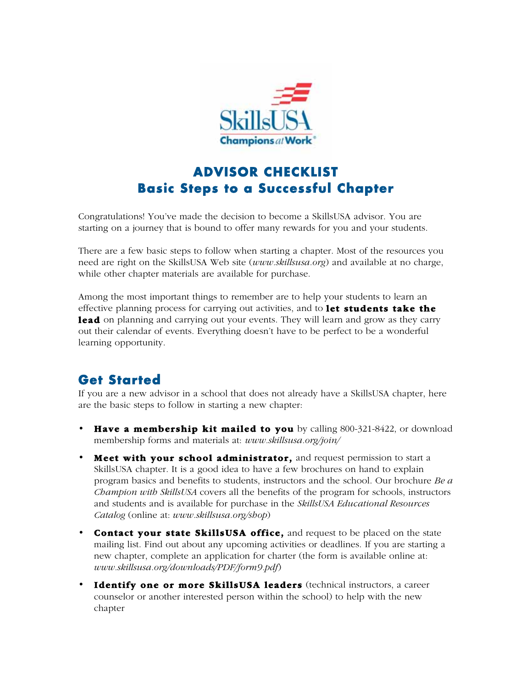

## **ADVISOR CHECKLIST Basic Steps to a Successful Chapter**

Congratulations! You've made the decision to become a SkillsUSA advisor. You are starting on a journey that is bound to offer many rewards for you and your students.

There are a few basic steps to follow when starting a chapter. Most of the resources you need are right on the SkillsUSA Web site (www.skillsusa.org) and available at no charge, while other chapter materials are available for purchase.

Among the most important things to remember are to help your students to learn an effective planning process for carrying out activities, and to **let students take the lead** on planning and carrying out your events. They will learn and grow as they carry out their calendar of events. Everything doesn't have to be perfect to be a wonderful learning opportunity.

## **Get Started**

If you are a new advisor in a school that does not already have a SkillsUSA chapter, here are the basic steps to follow in starting a new chapter:

- Have a membership kit mailed to you by calling 800-321-8422, or download membership forms and materials at: www.skillsusa.org/join/
- Meet with your school administrator, and request permission to start a SkillsUSA chapter. It is a good idea to have a few brochures on hand to explain program basics and benefits to students, instructors and the school. Our brochure Be a Champion with SkillsUSA covers all the benefits of the program for schools, instructors and students and is available for purchase in the SkillsUSA Educational Resources Catalog (online at: www.skillsusa.org/shop)
- Contact your state SkillsUSA office, and request to be placed on the state mailing list. Find out about any upcoming activities or deadlines. If you are starting a new chapter, complete an application for charter (the form is available online at: www.skillsusa.org/downloads/PDF/form9.pdf)
- Identify one or more SkillsUSA leaders (technical instructors, a career counselor or another interested person within the school) to help with the new chapter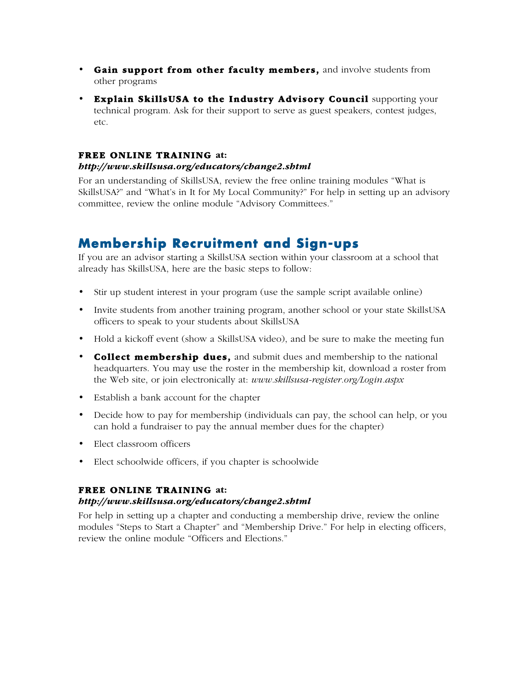- Gain support from other faculty members, and involve students from other programs
- Explain SkillsUSA to the Industry Advisory Council supporting your technical program. Ask for their support to serve as guest speakers, contest judges, etc.

### FREE ONLINE TRAINING at:

#### http://www.skillsusa.org/educators/change2.shtml

For an understanding of SkillsUSA, review the free online training modules "What is SkillsUSA?" and "What's in It for My Local Community?" For help in setting up an advisory committee, review the online module "Advisory Committees."

## **Membership Recruitment and Sign-ups**

If you are an advisor starting a SkillsUSA section within your classroom at a school that already has SkillsUSA, here are the basic steps to follow:

- Stir up student interest in your program (use the sample script available online)
- Invite students from another training program, another school or your state SkillsUSA officers to speak to your students about SkillsUSA
- Hold a kickoff event (show a SkillsUSA video), and be sure to make the meeting fun
- Collect membership dues, and submit dues and membership to the national headquarters. You may use the roster in the membership kit, download a roster from the Web site, or join electronically at: www.skillsusa-register.org/Login.aspx
- Establish a bank account for the chapter
- Decide how to pay for membership (individuals can pay, the school can help, or you can hold a fundraiser to pay the annual member dues for the chapter)
- Elect classroom officers
- Elect schoolwide officers, if you chapter is schoolwide

### FREE ONLINE TRAINING at:

#### http://www.skillsusa.org/educators/change2.shtml

For help in setting up a chapter and conducting a membership drive, review the online modules "Steps to Start a Chapter" and "Membership Drive." For help in electing officers, review the online module "Officers and Elections."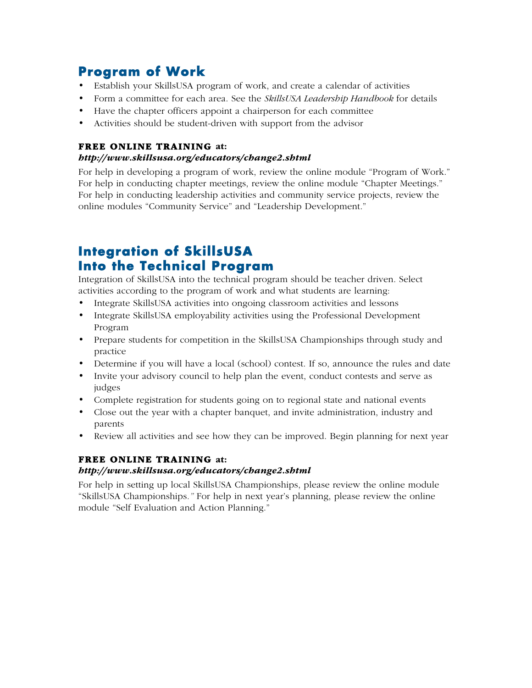# **Program of Work**

- Establish your SkillsUSA program of work, and create a calendar of activities
- Form a committee for each area. See the *SkillsUSA Leadership Handbook* for details
- Have the chapter officers appoint a chairperson for each committee
- Activities should be student-driven with support from the advisor

### FREE ONLINE TRAINING at:

### http://www.skillsusa.org/educators/change2.shtml

For help in developing a program of work, review the online module "Program of Work." For help in conducting chapter meetings, review the online module "Chapter Meetings." For help in conducting leadership activities and community service projects, review the online modules "Community Service" and "Leadership Development."

# **Integration of SkillsUSA Into the Technical Program**

Integration of SkillsUSA into the technical program should be teacher driven. Select activities according to the program of work and what students are learning:

- Integrate SkillsUSA activities into ongoing classroom activities and lessons
- Integrate SkillsUSA employability activities using the Professional Development Program
- Prepare students for competition in the SkillsUSA Championships through study and practice
- Determine if you will have a local (school) contest. If so, announce the rules and date
- Invite your advisory council to help plan the event, conduct contests and serve as judges
- Complete registration for students going on to regional state and national events
- Close out the year with a chapter banquet, and invite administration, industry and parents
- Review all activities and see how they can be improved. Begin planning for next year

## FREE ONLINE TRAINING at:

### http://www.skillsusa.org/educators/change2.shtml

For help in setting up local SkillsUSA Championships, please review the online module "SkillsUSA Championships." For help in next year's planning, please review the online module "Self Evaluation and Action Planning."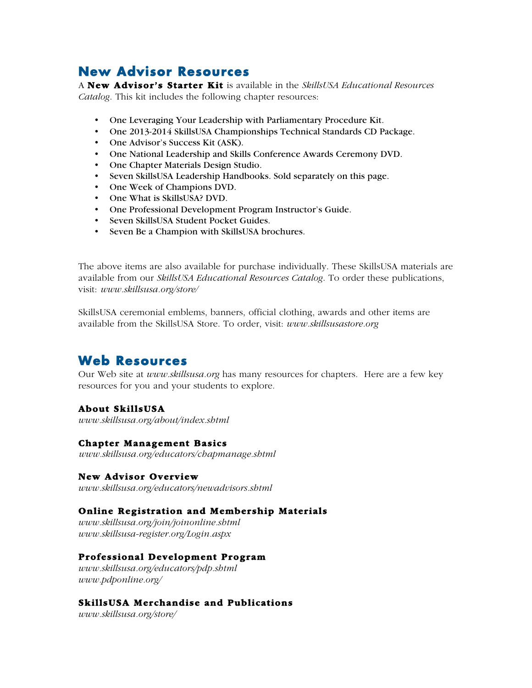## **New Advisor Resources**

A New Advisor's Starter Kit is available in the SkillsUSA Educational Resources Catalog. This kit includes the following chapter resources:

- One Leveraging Your Leadership with Parliamentary Procedure Kit.
- One 2013-2014 SkillsUSA Championships Technical Standards CD Package.
- One Advisor's Success Kit (ASK).
- One National Leadership and Skills Conference Awards Ceremony DVD.
- One Chapter Materials Design Studio.
- Seven SkillsUSA Leadership Handbooks. Sold separately on this page.
- One Week of Champions DVD.
- One What is SkillsUSA? DVD.
- One Professional Development Program Instructor's Guide.
- Seven SkillsUSA Student Pocket Guides.
- Seven Be a Champion with SkillsUSA brochures.

The above items are also available for purchase individually. These SkillsUSA materials are available from our *SkillsUSA Educational Resources Catalog*. To order these publications, visit: *www.skillsusa.org/store/*

SkillsUSA ceremonial emblems, banners, official clothing, awards and other items are available from the SkillsUSA Store. To order, visit: www.skillsusastore.org

## **Web Resources**

Our Web site at *www.skillsusa.org* has many resources for chapters. Here are a few key resources for you and your students to explore.

### About SkillsUSA

www.skillsusa.org/about/index.shtml

#### Chapter Management Basics

*www.skillsusa.org/educators/chapmanage.shtml* 

#### New Advisor Overview

www.skillsusa.org/educators/newadvisors.shtml

#### Online Registration and Membership Materials

www.skillsusa.org/join/joinonline.shtml www.skillsusa-register.org/Login.aspx

#### Professional Development Program

www.skillsusa.org/educators/pdp.shtml www.pdponline.org/

### SkillsUSA Merchandise and Publications

www.skillsusa.org/store/